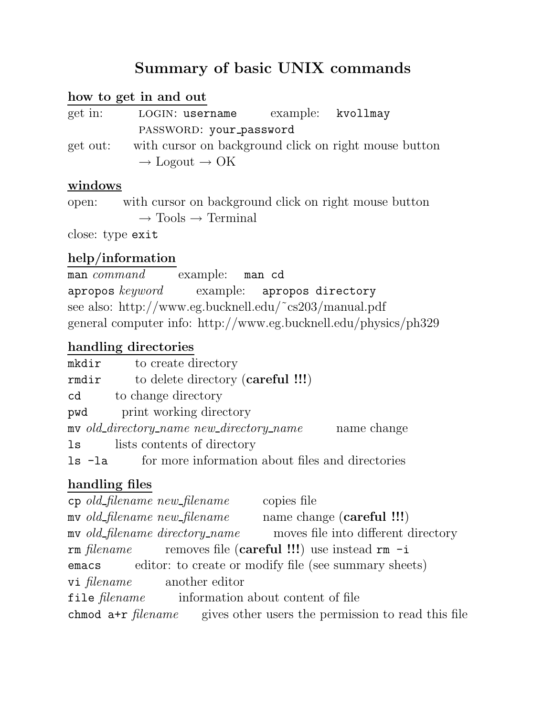# Summary of basic UNIX commands

### how to get in and out

| get in:  | LOGIN: username                                       | example: kvollmay |  |
|----------|-------------------------------------------------------|-------------------|--|
|          | PASSWORD: your_password                               |                   |  |
| get out: | with cursor on background click on right mouse button |                   |  |
|          | $\rightarrow$ Logout $\rightarrow$ OK                 |                   |  |

### windows

open: with cursor on background click on right mouse button  $\rightarrow$  Tools  $\rightarrow$  Terminal

close: type exit

### help/information

man command example: man cd apropos keyword example: apropos directory see also: http://www.eg.bucknell.edu/˜cs203/manual.pdf general computer info: http://www.eg.bucknell.edu/physics/ph329

### handling directories

| mkdir                                                   | to create directory                              |  |  |  |  |
|---------------------------------------------------------|--------------------------------------------------|--|--|--|--|
| rmdir                                                   | to delete directory (careful !!!)                |  |  |  |  |
| cd                                                      | to change directory                              |  |  |  |  |
| pwd                                                     | print working directory                          |  |  |  |  |
| my old_directory_name new_directory_name<br>name change |                                                  |  |  |  |  |
| ls                                                      | lists contents of directory                      |  |  |  |  |
| ls -la                                                  | for more information about files and directories |  |  |  |  |
|                                                         |                                                  |  |  |  |  |

## handling files

| $cp$ old_filename new_filename                             | copies file                                                                    |
|------------------------------------------------------------|--------------------------------------------------------------------------------|
| my old_filename new_filename                               | name change (careful !!!)                                                      |
| my old_filename directory_name                             | moves file into different directory                                            |
| rm filename removes file (careful !!!) use instead rm $-i$ |                                                                                |
| emacs                                                      | editor: to create or modify file (see summary sheets)                          |
| vi filename another editor                                 |                                                                                |
| file <i>filename</i> information about content of file     |                                                                                |
|                                                            | chmod $a+r$ <i>filename</i> gives other users the permission to read this file |
|                                                            |                                                                                |